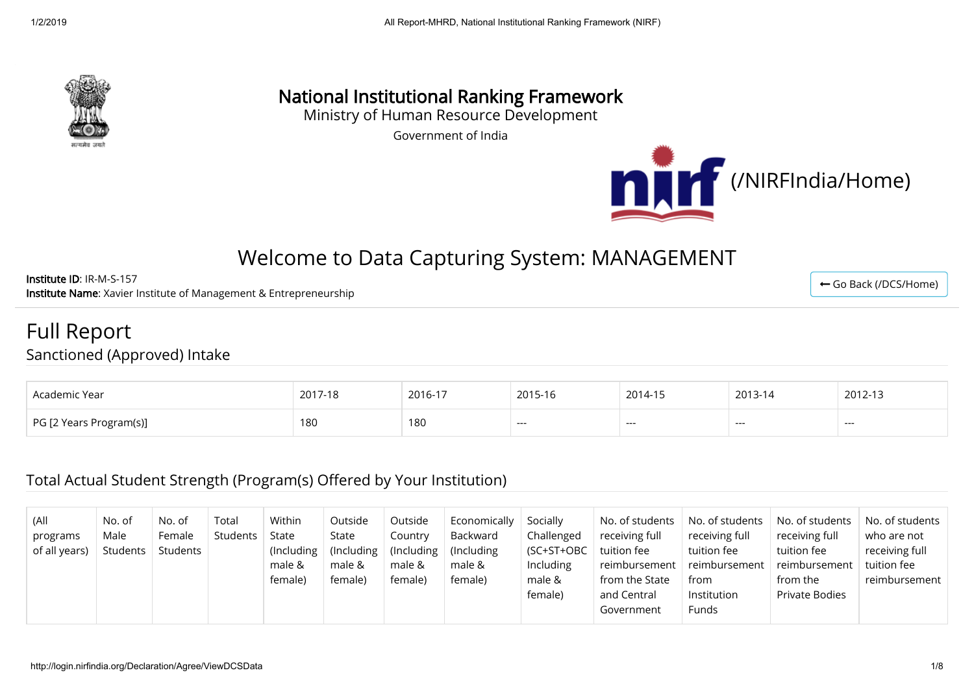

# National Institutional Ranking Framework

Ministry of Human Resource Development

Government of India



# Welcome to Data Capturing System: MANAGEMENT

Institute ID: IR-M-S-157 Institute Name: Xavier Institute of Management & Entrepreneurship

Full Report

Sanctioned (Approved) Intake

| Academic Year           | $2017.47$<br>2017-18 | 2016-17 | 2015-16 | 2014-15 | 2013-14 | 2012-13 |
|-------------------------|----------------------|---------|---------|---------|---------|---------|
| PG [2 Years Program(s)] | 180                  | 180     | $---$   | ----    | ---     | ---     |

#### Total Actual Student Strength (Program(s) Offered by Your Institution)

| (All<br>programs<br>of all years) | No. of<br>Male<br>Students | No. of<br>Female<br>Students | Total<br>Students | Within<br>State<br>(Including)<br>male &<br>female) | Outside<br>State<br>(Including)<br>male &<br>female) | Outside<br>Country<br>(Including<br>male &<br>female) | Economically<br>Backward<br>(Including)<br>male &<br>female) | Socially<br>Challenged<br>(SC+ST+OBC<br><b>Including</b><br>male & | No. of students<br>receiving full<br>tuition fee<br>reimbursement<br>from the State | No. of students<br>receiving full<br>tuition fee<br>reimbursement<br>from | No. of students<br>receiving full<br>tuition fee<br>reimbursement<br>from the | No. of students N<br>who are not<br>receiving full<br>tuition fee<br>reimbursement |
|-----------------------------------|----------------------------|------------------------------|-------------------|-----------------------------------------------------|------------------------------------------------------|-------------------------------------------------------|--------------------------------------------------------------|--------------------------------------------------------------------|-------------------------------------------------------------------------------------|---------------------------------------------------------------------------|-------------------------------------------------------------------------------|------------------------------------------------------------------------------------|
|                                   |                            |                              |                   |                                                     |                                                      |                                                       |                                                              | female)                                                            | and Central<br>Government                                                           | Institution<br><b>Funds</b>                                               | <b>Private Bodies</b>                                                         |                                                                                    |

← [Go Back \(/DCS/Home\)](http://login.nirfindia.org/DCS/Home)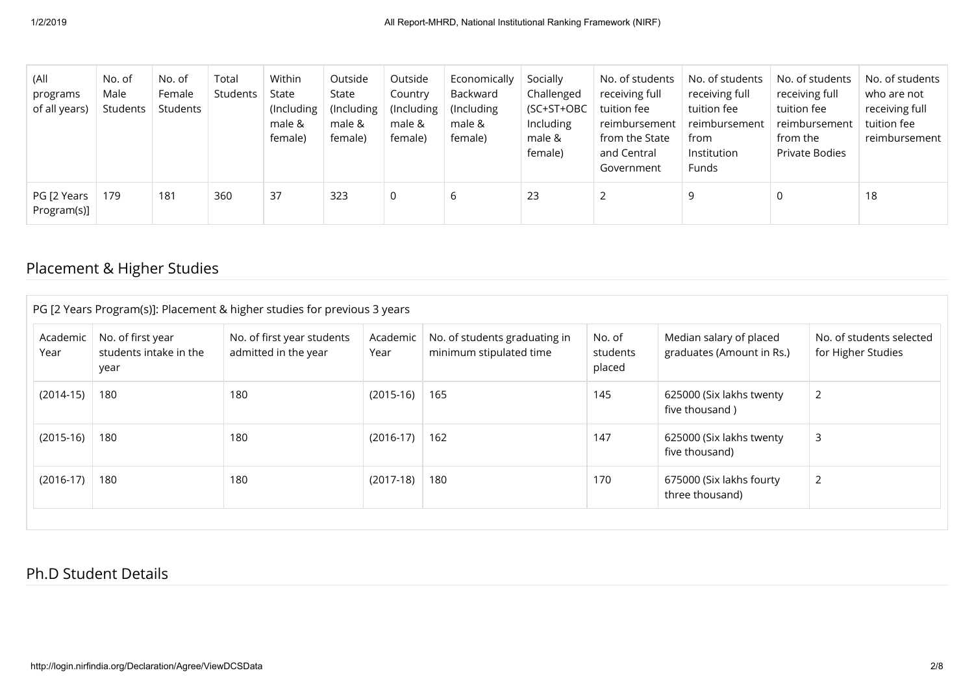| (All<br>programs<br>of all years) | No. of<br>Male<br>Students | No. of<br>Female<br>Students | Total<br>Students | Within<br>State<br>(Including<br>male &<br>female) | Outside<br>State<br>(Including)<br>male &<br>female) | Outside<br>Country<br>(Including<br>male &<br>female) | Economically<br>Backward<br>(Including)<br>male &<br>female) | Socially<br>Challenged<br>(SC+ST+OBC<br><b>Including</b><br>male &<br>female) | No. of students<br>receiving full<br>tuition fee<br>reimbursement<br>from the State<br>and Central<br>Government | No. of students<br>receiving full<br>tuition fee<br>reimbursement<br>from<br>Institution<br>Funds | No. of students<br>receiving full<br>tuition fee<br>reimbursement<br>from the<br>Private Bodies | No. of students<br>who are not<br>receiving full<br>tuition fee<br>reimbursement |
|-----------------------------------|----------------------------|------------------------------|-------------------|----------------------------------------------------|------------------------------------------------------|-------------------------------------------------------|--------------------------------------------------------------|-------------------------------------------------------------------------------|------------------------------------------------------------------------------------------------------------------|---------------------------------------------------------------------------------------------------|-------------------------------------------------------------------------------------------------|----------------------------------------------------------------------------------|
| PG [2 Years<br>Program(s)]        | 179                        | 181                          | 360               | 37                                                 | 323                                                  |                                                       | 6                                                            | 23                                                                            | ຳ                                                                                                                |                                                                                                   |                                                                                                 | 18                                                                               |

# Placement & Higher Studies

| Academic<br>Year | No. of first year<br>students intake in the<br>year | No. of first year students<br>admitted in the year | Academic<br>Year | No. of students graduating in<br>minimum stipulated time | No. of<br>students<br>placed | Median salary of placed<br>graduates (Amount in Rs.) | No. of students selected<br>for Higher Studies |
|------------------|-----------------------------------------------------|----------------------------------------------------|------------------|----------------------------------------------------------|------------------------------|------------------------------------------------------|------------------------------------------------|
| $(2014-15)$      | 180                                                 | 180                                                | $(2015-16)$      | 165                                                      | 145                          | 625000 (Six lakhs twenty<br>five thousand)           | 2                                              |
| $(2015-16)$      | 180                                                 | 180                                                | $(2016-17)$      | 162                                                      | 147                          | 625000 (Six lakhs twenty<br>five thousand)           | 3                                              |
| $(2016-17)$      | 180                                                 | 180                                                | $(2017-18)$      | 180                                                      | 170                          | 675000 (Six lakhs fourty<br>three thousand)          | $\overline{2}$                                 |

#### Ph.D Student Details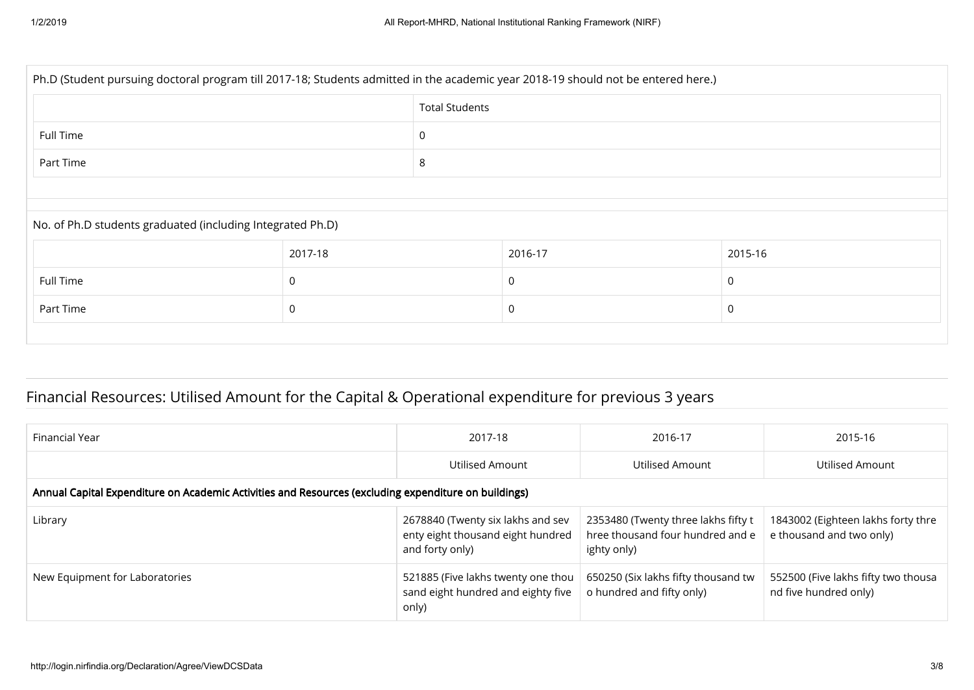| Ph.D (Student pursuing doctoral program till 2017-18; Students admitted in the academic year 2018-19 should not be entered here.) |         |                       |         |          |  |  |  |  |
|-----------------------------------------------------------------------------------------------------------------------------------|---------|-----------------------|---------|----------|--|--|--|--|
|                                                                                                                                   |         | <b>Total Students</b> |         |          |  |  |  |  |
| Full Time                                                                                                                         |         | 0                     |         |          |  |  |  |  |
| Part Time                                                                                                                         |         | 8                     |         |          |  |  |  |  |
|                                                                                                                                   |         |                       |         |          |  |  |  |  |
| No. of Ph.D students graduated (including Integrated Ph.D)                                                                        |         |                       |         |          |  |  |  |  |
|                                                                                                                                   | 2017-18 |                       | 2016-17 | 2015-16  |  |  |  |  |
| Full Time                                                                                                                         | 0       |                       | 0       | $\Omega$ |  |  |  |  |
| Part Time                                                                                                                         | 0       |                       | 0       |          |  |  |  |  |
|                                                                                                                                   |         |                       |         |          |  |  |  |  |

# Financial Resources: Utilised Amount for the Capital & Operational expenditure for previous 3 years

| Financial Year                                                                                       | 2017-18                                                                                   | 2016-17                                                                                | 2015-16                                                        |  |  |  |  |
|------------------------------------------------------------------------------------------------------|-------------------------------------------------------------------------------------------|----------------------------------------------------------------------------------------|----------------------------------------------------------------|--|--|--|--|
|                                                                                                      | Utilised Amount                                                                           | Utilised Amount                                                                        | Utilised Amount                                                |  |  |  |  |
| Annual Capital Expenditure on Academic Activities and Resources (excluding expenditure on buildings) |                                                                                           |                                                                                        |                                                                |  |  |  |  |
| Library                                                                                              | 2678840 (Twenty six lakhs and sev<br>enty eight thousand eight hundred<br>and forty only) | 2353480 (Twenty three lakhs fifty t<br>hree thousand four hundred and e<br>ighty only) | 1843002 (Eighteen lakhs forty thre<br>e thousand and two only) |  |  |  |  |
| New Equipment for Laboratories                                                                       | 521885 (Five lakhs twenty one thou<br>sand eight hundred and eighty five<br>only)         | 650250 (Six lakhs fifty thousand tw<br>o hundred and fifty only)                       | 552500 (Five lakhs fifty two thousa<br>nd five hundred only)   |  |  |  |  |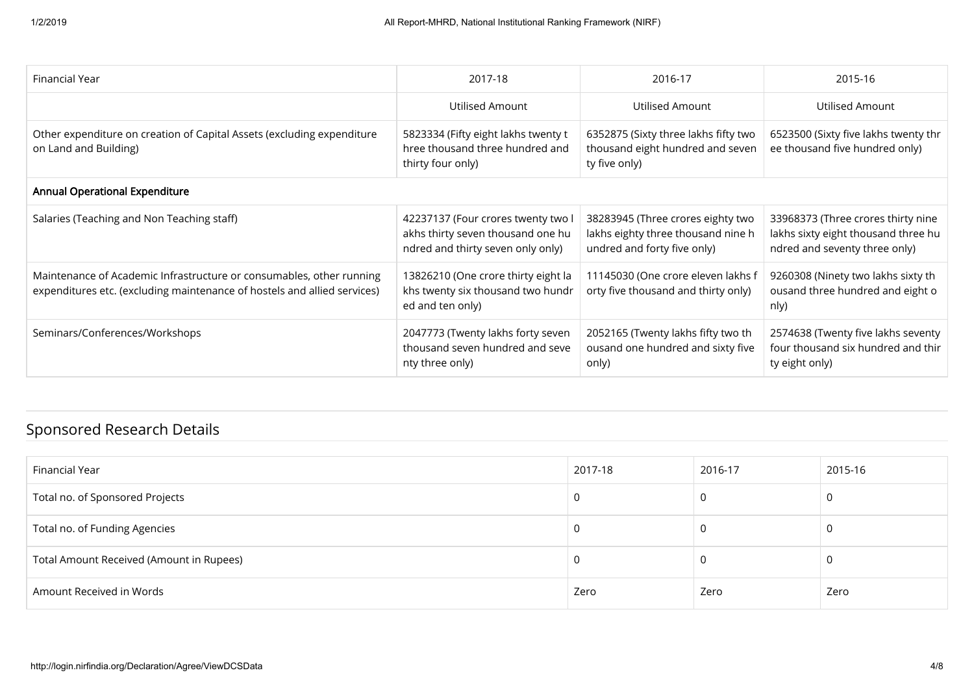| Financial Year                                                                                                                                   | 2017-18                                                                                                      | 2016-17                                                                                                | 2015-16                                                                                                    |  |  |  |
|--------------------------------------------------------------------------------------------------------------------------------------------------|--------------------------------------------------------------------------------------------------------------|--------------------------------------------------------------------------------------------------------|------------------------------------------------------------------------------------------------------------|--|--|--|
|                                                                                                                                                  | Utilised Amount                                                                                              | Utilised Amount                                                                                        | <b>Utilised Amount</b>                                                                                     |  |  |  |
| Other expenditure on creation of Capital Assets (excluding expenditure<br>on Land and Building)                                                  | 5823334 (Fifty eight lakhs twenty t<br>hree thousand three hundred and<br>thirty four only)                  | 6352875 (Sixty three lakhs fifty two<br>thousand eight hundred and seven<br>ty five only)              | 6523500 (Sixty five lakhs twenty thr<br>ee thousand five hundred only)                                     |  |  |  |
| <b>Annual Operational Expenditure</b>                                                                                                            |                                                                                                              |                                                                                                        |                                                                                                            |  |  |  |
| Salaries (Teaching and Non Teaching staff)                                                                                                       | 42237137 (Four crores twenty two I<br>akhs thirty seven thousand one hu<br>ndred and thirty seven only only) | 38283945 (Three crores eighty two<br>lakhs eighty three thousand nine h<br>undred and forty five only) | 33968373 (Three crores thirty nine<br>lakhs sixty eight thousand three hu<br>ndred and seventy three only) |  |  |  |
| Maintenance of Academic Infrastructure or consumables, other running<br>expenditures etc. (excluding maintenance of hostels and allied services) | 13826210 (One crore thirty eight la<br>khs twenty six thousand two hundr<br>ed and ten only)                 | 11145030 (One crore eleven lakhs f<br>orty five thousand and thirty only)                              | 9260308 (Ninety two lakhs sixty th<br>ousand three hundred and eight o<br>nly)                             |  |  |  |
| Seminars/Conferences/Workshops                                                                                                                   | 2047773 (Twenty lakhs forty seven<br>thousand seven hundred and seve<br>nty three only)                      | 2052165 (Twenty lakhs fifty two th<br>ousand one hundred and sixty five<br>only)                       | 2574638 (Twenty five lakhs seventy<br>four thousand six hundred and thir<br>ty eight only)                 |  |  |  |

# Sponsored Research Details

| Financial Year                           | 2017-18 | 2016-17 | 2015-16 |
|------------------------------------------|---------|---------|---------|
| Total no. of Sponsored Projects          | U       |         |         |
| Total no. of Funding Agencies            | -U      |         |         |
| Total Amount Received (Amount in Rupees) | -U      |         |         |
| Amount Received in Words                 | Zero    | Zero    | Zero    |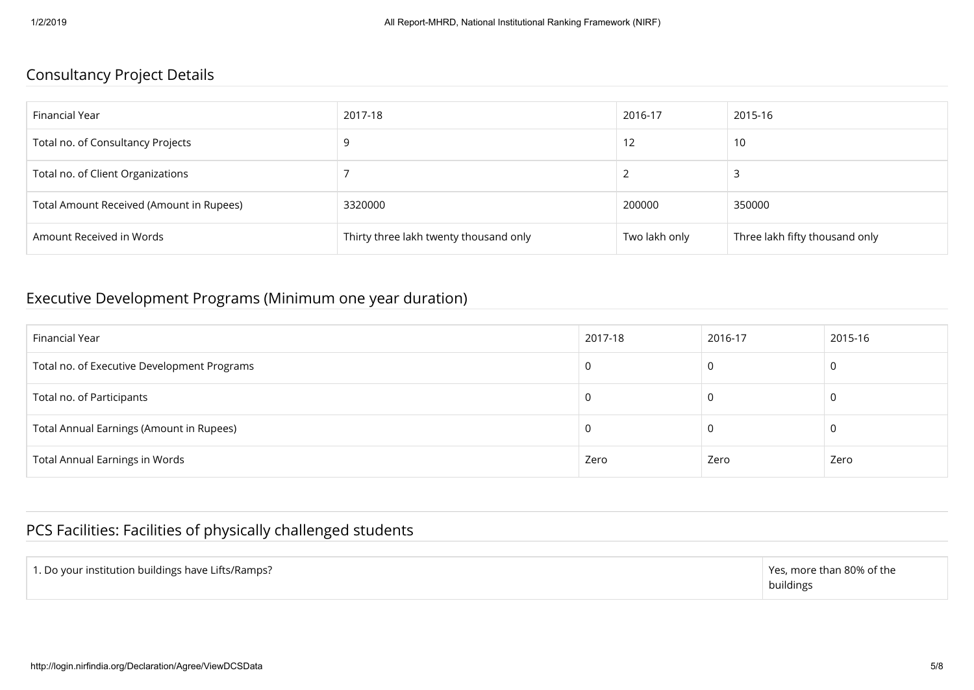### Consultancy Project Details

| Financial Year                           | 2017-18                                | 2016-17       | 2015-16                        |
|------------------------------------------|----------------------------------------|---------------|--------------------------------|
| Total no. of Consultancy Projects        | 9                                      |               | 10                             |
| Total no. of Client Organizations        |                                        |               |                                |
| Total Amount Received (Amount in Rupees) | 3320000                                | 200000        | 350000                         |
| Amount Received in Words                 | Thirty three lakh twenty thousand only | Two lakh only | Three lakh fifty thousand only |

### Executive Development Programs (Minimum one year duration)

| Financial Year                              | 2017-18 | 2016-17 | 2015-16 |
|---------------------------------------------|---------|---------|---------|
| Total no. of Executive Development Programs |         | 0       | 0       |
| Total no. of Participants                   |         | υ       | 0       |
| Total Annual Earnings (Amount in Rupees)    |         | υ       | U       |
| <b>Total Annual Earnings in Words</b>       | Zero    | Zero    | Zero    |

## PCS Facilities: Facilities of physically challenged students

| 1. Do your institution buildings have Lifts/Ramps? | $\perp$ Yes, more than 80% of the<br>buildings |
|----------------------------------------------------|------------------------------------------------|
|----------------------------------------------------|------------------------------------------------|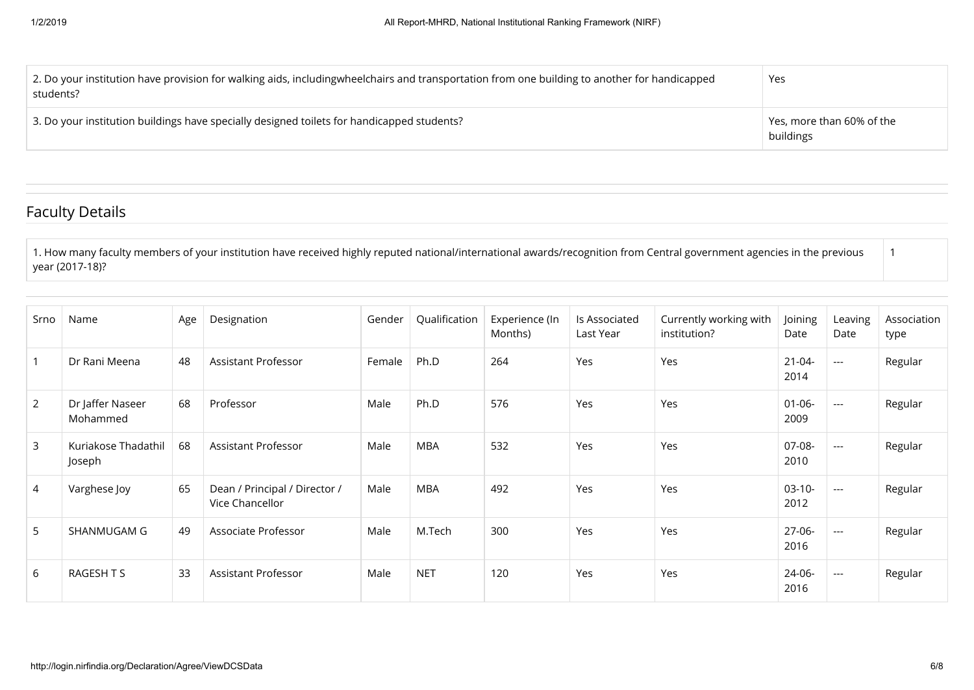| 2. Do your institution have provision for walking aids, includingwheelchairs and transportation from one building to another for handicapped<br>students? | Yes                                                    |
|-----------------------------------------------------------------------------------------------------------------------------------------------------------|--------------------------------------------------------|
| 3. Do your institution buildings have specially designed toilets for handicapped students?                                                                | $^{\mathrm{+}}$ Yes, more than 60% of the<br>buildings |

### Faculty Details

1. How many faculty members of your institution have received highly reputed national/international awards/recognition from Central government agencies in the previous year (2017-18)?

| Srno           | Name                          | Age | Designation                                      | Gender | Qualification | Experience (In<br>Months) | Is Associated<br>Last Year | Currently working with<br>institution? | Joining<br>Date     | Leaving<br>Date          | Association<br>type |
|----------------|-------------------------------|-----|--------------------------------------------------|--------|---------------|---------------------------|----------------------------|----------------------------------------|---------------------|--------------------------|---------------------|
|                | Dr Rani Meena                 | 48  | Assistant Professor                              | Female | Ph.D          | 264                       | Yes                        | Yes                                    | $21 - 04 -$<br>2014 | $\hspace{0.05cm} \ldots$ | Regular             |
| $\overline{2}$ | Dr Jaffer Naseer<br>Mohammed  | 68  | Professor                                        | Male   | Ph.D          | 576                       | Yes                        | Yes                                    | 01-06-<br>2009      | $\hspace{0.05cm} \ldots$ | Regular             |
| 3              | Kuriakose Thadathil<br>Joseph | 68  | <b>Assistant Professor</b>                       | Male   | MBA           | 532                       | Yes                        | Yes                                    | 07-08-<br>2010      | $\hspace{0.05cm} \ldots$ | Regular             |
| 4              | Varghese Joy                  | 65  | Dean / Principal / Director /<br>Vice Chancellor | Male   | MBA           | 492                       | Yes                        | Yes                                    | $03-10-$<br>2012    | $\hspace{0.05cm} \ldots$ | Regular             |
| 5              | SHANMUGAM G                   | 49  | Associate Professor                              | Male   | M.Tech        | 300                       | Yes                        | Yes                                    | 27-06-<br>2016      | $\hspace{0.05cm} \ldots$ | Regular             |
| 6              | RAGESH T S                    | 33  | Assistant Professor                              | Male   | <b>NET</b>    | 120                       | Yes                        | Yes                                    | 24-06-<br>2016      | $\hspace{0.05cm} \ldots$ | Regular             |

1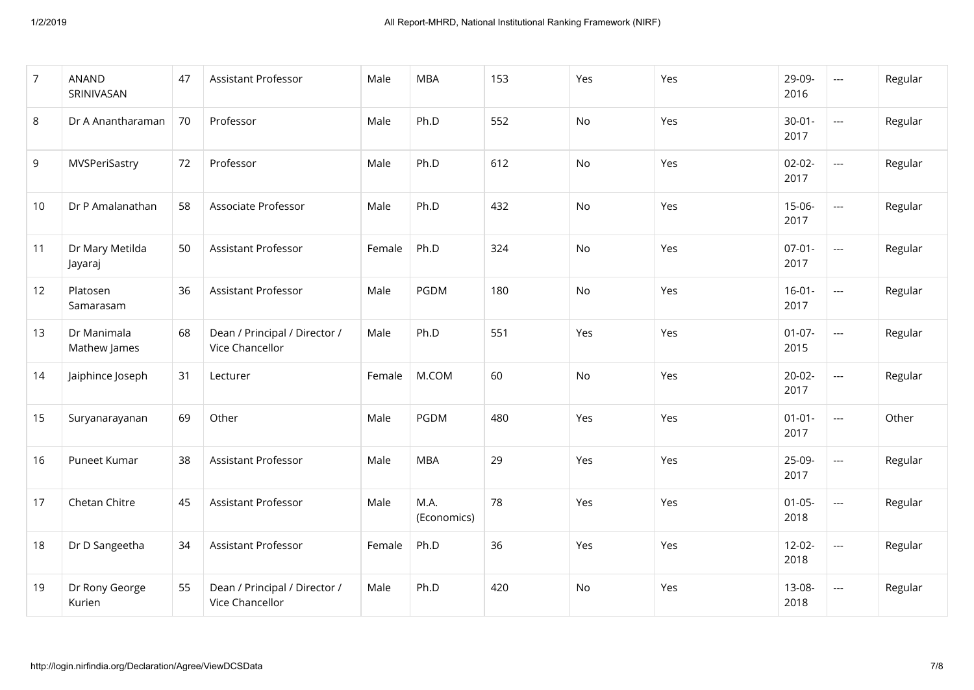| $\overline{7}$ | <b>ANAND</b><br>SRINIVASAN  | 47 | <b>Assistant Professor</b>                       | Male   | <b>MBA</b>          | 153 | Yes       | Yes | 29-09-<br>2016      | ---                                                 | Regular |
|----------------|-----------------------------|----|--------------------------------------------------|--------|---------------------|-----|-----------|-----|---------------------|-----------------------------------------------------|---------|
| 8              | Dr A Anantharaman           | 70 | Professor                                        | Male   | Ph.D                | 552 | <b>No</b> | Yes | $30 - 01 -$<br>2017 | ---                                                 | Regular |
| 9              | MVSPeriSastry               | 72 | Professor                                        | Male   | Ph.D                | 612 | <b>No</b> | Yes | $02 - 02 -$<br>2017 | $\overline{a}$                                      | Regular |
| 10             | Dr P Amalanathan            | 58 | Associate Professor                              | Male   | Ph.D                | 432 | No        | Yes | $15-06-$<br>2017    | $\mathbb{H}^{\mathbb{H}^{\mathbb{H}}}$              | Regular |
| 11             | Dr Mary Metilda<br>Jayaraj  | 50 | Assistant Professor                              | Female | Ph.D                | 324 | No        | Yes | $07-01-$<br>2017    | $\mathbb{H}^{\mathbb{H}^{\mathbb{H}}}_{\mathbb{H}}$ | Regular |
| 12             | Platosen<br>Samarasam       | 36 | Assistant Professor                              | Male   | <b>PGDM</b>         | 180 | No        | Yes | $16-01-$<br>2017    | ---                                                 | Regular |
| 13             | Dr Manimala<br>Mathew James | 68 | Dean / Principal / Director /<br>Vice Chancellor | Male   | Ph.D                | 551 | Yes       | Yes | $01 - 07 -$<br>2015 | ---                                                 | Regular |
| 14             | Jaiphince Joseph            | 31 | Lecturer                                         | Female | M.COM               | 60  | No        | Yes | $20-02-$<br>2017    | $\overline{a}$                                      | Regular |
| 15             | Suryanarayanan              | 69 | Other                                            | Male   | <b>PGDM</b>         | 480 | Yes       | Yes | $01 - 01 -$<br>2017 | $\overline{\phantom{a}}$                            | Other   |
| 16             | Puneet Kumar                | 38 | Assistant Professor                              | Male   | <b>MBA</b>          | 29  | Yes       | Yes | 25-09-<br>2017      | $\overline{\phantom{a}}$                            | Regular |
| 17             | Chetan Chitre               | 45 | Assistant Professor                              | Male   | M.A.<br>(Economics) | 78  | Yes       | Yes | $01 - 05 -$<br>2018 | ---                                                 | Regular |
| 18             | Dr D Sangeetha              | 34 | Assistant Professor                              | Female | Ph.D                | 36  | Yes       | Yes | $12 - 02 -$<br>2018 | ---                                                 | Regular |
| 19             | Dr Rony George<br>Kurien    | 55 | Dean / Principal / Director /<br>Vice Chancellor | Male   | Ph.D                | 420 | No        | Yes | 13-08-<br>2018      | ---                                                 | Regular |